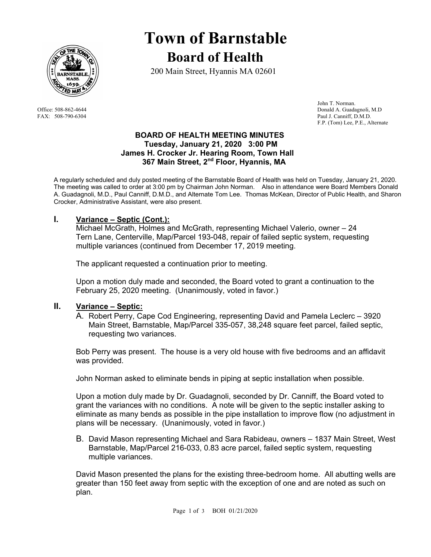

# **Town of Barnstable Board of Health**

200 Main Street, Hyannis MA 02601

 John T. Norman. Office: 508-862-4644 Donald A. Guadagnoli, M.D FAX: 508-790-6304 Paul J. Canniff, D.M.D. F.P. (Tom) Lee, P.E., Alternate

# **BOARD OF HEALTH MEETING MINUTES Tuesday, January 21, 2020 3:00 PM James H. Crocker Jr. Hearing Room, Town Hall 367 Main Street, 2nd Floor, Hyannis, MA**

A regularly scheduled and duly posted meeting of the Barnstable Board of Health was held on Tuesday, January 21, 2020. The meeting was called to order at 3:00 pm by Chairman John Norman. Also in attendance were Board Members Donald A. Guadagnoli, M.D., Paul Canniff, D.M.D., and Alternate Tom Lee. Thomas McKean, Director of Public Health, and Sharon Crocker, Administrative Assistant, were also present.

# **I. Variance – Septic (Cont.):**

Michael McGrath, Holmes and McGrath, representing Michael Valerio, owner – 24 Tern Lane, Centerville, Map/Parcel 193-048, repair of failed septic system, requesting multiple variances (continued from December 17, 2019 meeting.

The applicant requested a continuation prior to meeting.

Upon a motion duly made and seconded, the Board voted to grant a continuation to the February 25, 2020 meeting. (Unanimously, voted in favor.)

# **II. Variance – Septic:**

A. Robert Perry, Cape Cod Engineering, representing David and Pamela Leclerc – 3920 Main Street, Barnstable, Map/Parcel 335-057, 38,248 square feet parcel, failed septic, requesting two variances.

Bob Perry was present. The house is a very old house with five bedrooms and an affidavit was provided.

John Norman asked to eliminate bends in piping at septic installation when possible.

Upon a motion duly made by Dr. Guadagnoli, seconded by Dr. Canniff, the Board voted to grant the variances with no conditions. A note will be given to the septic installer asking to eliminate as many bends as possible in the pipe installation to improve flow (no adjustment in plans will be necessary. (Unanimously, voted in favor.)

B. David Mason representing Michael and Sara Rabideau, owners – 1837 Main Street, West Barnstable, Map/Parcel 216-033, 0.83 acre parcel, failed septic system, requesting multiple variances.

David Mason presented the plans for the existing three-bedroom home. All abutting wells are greater than 150 feet away from septic with the exception of one and are noted as such on plan.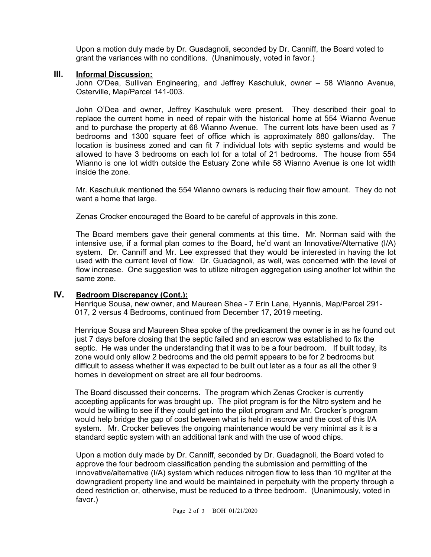Upon a motion duly made by Dr. Guadagnoli, seconded by Dr. Canniff, the Board voted to grant the variances with no conditions. (Unanimously, voted in favor.)

#### **III. Informal Discussion:**

John O'Dea, Sullivan Engineering, and Jeffrey Kaschuluk, owner – 58 Wianno Avenue, Osterville, Map/Parcel 141-003.

John O'Dea and owner, Jeffrey Kaschuluk were present. They described their goal to replace the current home in need of repair with the historical home at 554 Wianno Avenue and to purchase the property at 68 Wianno Avenue. The current lots have been used as 7 bedrooms and 1300 square feet of office which is approximately 880 gallons/day. The location is business zoned and can fit 7 individual lots with septic systems and would be allowed to have 3 bedrooms on each lot for a total of 21 bedrooms. The house from 554 Wianno is one lot width outside the Estuary Zone while 58 Wianno Avenue is one lot width inside the zone.

Mr. Kaschuluk mentioned the 554 Wianno owners is reducing their flow amount. They do not want a home that large.

Zenas Crocker encouraged the Board to be careful of approvals in this zone.

The Board members gave their general comments at this time. Mr. Norman said with the intensive use, if a formal plan comes to the Board, he'd want an Innovative/Alternative (I/A) system. Dr. Canniff and Mr. Lee expressed that they would be interested in having the lot used with the current level of flow. Dr. Guadagnoli, as well, was concerned with the level of flow increase. One suggestion was to utilize nitrogen aggregation using another lot within the same zone.

#### **IV. Bedroom Discrepancy (Cont.):**

Henrique Sousa, new owner, and Maureen Shea - 7 Erin Lane, Hyannis, Map/Parcel 291- 017, 2 versus 4 Bedrooms, continued from December 17, 2019 meeting.

Henrique Sousa and Maureen Shea spoke of the predicament the owner is in as he found out just 7 days before closing that the septic failed and an escrow was established to fix the septic. He was under the understanding that it was to be a four bedroom. If built today, its zone would only allow 2 bedrooms and the old permit appears to be for 2 bedrooms but difficult to assess whether it was expected to be built out later as a four as all the other 9 homes in development on street are all four bedrooms.

The Board discussed their concerns. The program which Zenas Crocker is currently accepting applicants for was brought up. The pilot program is for the Nitro system and he would be willing to see if they could get into the pilot program and Mr. Crocker's program would help bridge the gap of cost between what is held in escrow and the cost of this I/A system. Mr. Crocker believes the ongoing maintenance would be very minimal as it is a standard septic system with an additional tank and with the use of wood chips.

Upon a motion duly made by Dr. Canniff, seconded by Dr. Guadagnoli, the Board voted to approve the four bedroom classification pending the submission and permitting of the innovative/alternative (I/A) system which reduces nitrogen flow to less than 10 mg/liter at the downgradient property line and would be maintained in perpetuity with the property through a deed restriction or, otherwise, must be reduced to a three bedroom. (Unanimously, voted in favor.)